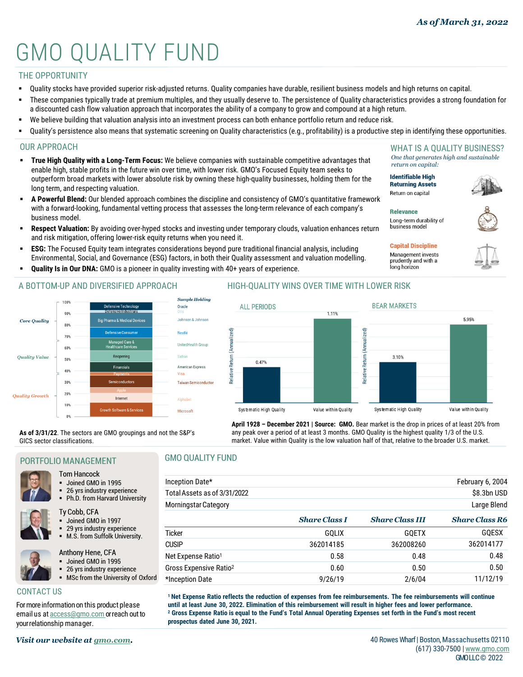# GMO QUALITY FUND

# THE OPPORTUNITY

- Quality stocks have provided superior risk-adjusted returns. Quality companies have durable, resilient business models and high returns on capital.
- These companies typically trade at premium multiples, and they usually deserve to. The persistence of Quality characteristics provides a strong foundation for a discounted cash flow valuation approach that incorporates the ability of a company to grow and compound at a high return.
- We believe building that valuation analysis into an investment process can both enhance portfolio return and reduce risk.
- Quality's persistence also means that systematic screening on Quality characteristics (e.g., profitability) is a productive step in identifying these opportunities.

#### OUR APPROACH

- **True High Quality with a Long-Term Focus:** We believe companies with sustainable competitive advantages that enable high, stable profits in the future win over time, with lower risk. GMO's Focused Equity team seeks to outperform broad markets with lower absolute risk by owning these high-quality businesses, holding them for the long term, and respecting valuation.
- **A Powerful Blend:** Our blended approach combines the discipline and consistency of GMO's quantitative framework with a forward-looking, fundamental vetting process that assesses the long-term relevance of each company's business model.
- **Respect Valuation:** By avoiding over-hyped stocks and investing under temporary clouds, valuation enhances return and risk mitigation, offering lower-risk equity returns when you need it.
- **ESG:** The Focused Equity team integrates considerations beyond pure traditional financial analysis, including Environmental, Social, and Governance (ESG) factors, in both their Quality assessment and valuation modelling.
- **Quality Is in Our DNA:** GMO is a pioneer in quality investing with 40+ years of experience.

### A BOTTOM-UP AND DIVERSIFIED APPROACH



#### HIGH-QUALITY WINS OVER TIME WITH LOWER RISK



**April 1928 – December 2021 | Source: GMO.** Bear market is the drop in prices of at least 20% from any peak over a period of at least 3 months. GMO Quality is the highest quality 1/3 of the U.S. market. Value within Quality is the low valuation half of that, relative to the broader U.S. market.

**As of 3/31/22**. The sectors are GMO groupings and not the S&P's GICS sector classifications.

#### PORTFOLIO MANAGEMENT

#### Tom Hancock

- Joined GMO in 1995
- 26 yrs industry experience
- Ph.D. from Harvard University

```
Ty Cobb, CFA
```
- Joined GMO in 1997
- 29 yrs industry experience
- M.S. from Suffolk University.



- Anthony Hene, CFA Joined GMO in 1995 26 yrs industry experience
- MSc from the University of Oxford
- CONTACT US

For more information on this product please email us at **access@gmo.com** or reach out to yourrelationship manager.

# GMO QUALITY FUND

| Inception Date*                    |                      |                        | February 6, 2004      |
|------------------------------------|----------------------|------------------------|-----------------------|
| Total Assets as of 3/31/2022       |                      |                        | \$8.3bn USD           |
| <b>Morningstar Category</b>        |                      |                        | Large Blend           |
|                                    | <b>Share Class I</b> | <b>Share Class III</b> | <b>Share Class R6</b> |
| <b>Ticker</b>                      | <b>GOLIX</b>         | <b>GOETX</b>           | GQESX                 |
| <b>CUSIP</b>                       | 362014185            | 362008260              | 362014177             |
| Net Expense Ratio <sup>1</sup>     | 0.58                 | 0.48                   | 0.48                  |
| Gross Expensive Ratio <sup>2</sup> | 0.60                 | 0.50                   | 0.50                  |
| *Inception Date                    | 9/26/19              | 2/6/04                 | 11/12/19              |

**<sup>1</sup> Net Expense Ratio reflects the reduction of expenses from fee reimbursements. The fee reimbursements will continue until at least June 30, 2022. Elimination of this reimbursement will result in higher fees and lower performance. <sup>2</sup> Gross Expense Ratio is equal to the Fund's Total Annual Operating Expenses set forth in the Fund's most recent prospectus dated June 30, 2021.**



**Identifiable High Returning Assets Return on capital** 

**Relevance** Long-term durability of business model



# **Capital Discipline**

Management invests prudently and with a long horizon

(617) 330-7500 |www.gmo.com GMOLLC© 2022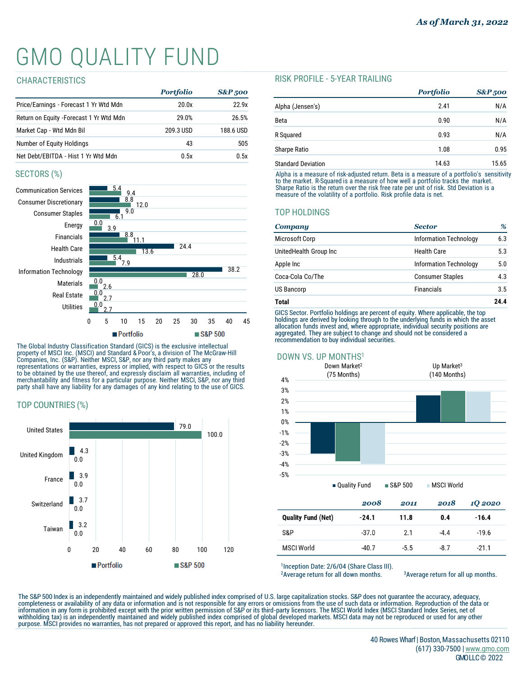# GMO QUALITY FUND

#### CHARACTERISTICS

|                                          | <b>Portfolio</b> | <b>S&amp;P</b> 500 |
|------------------------------------------|------------------|--------------------|
| Price/Earnings - Forecast 1 Yr Wtd Mdn   | 20.0x            | 22.9x              |
| Return on Equity - Forecast 1 Yr Wtd Mdn | 29.0%            | 26.5%              |
| Market Cap - Wtd Mdn Bil                 | 209.3 USD        | 188.6 USD          |
| Number of Equity Holdings                | 43               | 505                |
| Net Debt/EBITDA - Hist 1 Yr Wtd Mdn      | 0.5x             | 0.5x               |

### SECTORS (%)



The Global Industry Classification Standard (GICS) is the exclusive intellectual<br>property of MSCI Inc. (MSCI) and Standard & Poor's, a division of The McGraw-Hill<br>Companies, Inc. (S&P). Neither MSCI, S&P, nor any third par merchantability and fitness for a particular purpose. Neither MSCI, S&P, nor any third party shall have any liability for any damages of any kind relating to the use of GICS.

# TOP COUNTRIES (%)



#### RISK PROFILE - 5-YEAR TRAILING

|                           | <b>Portfolio</b> | <b>S&amp;P</b> 500 |
|---------------------------|------------------|--------------------|
| Alpha (Jensen's)          | 2.41             | N/A                |
| Beta                      | 0.90             | N/A                |
| R Squared                 | 0.93             | N/A                |
| <b>Sharpe Ratio</b>       | 1.08             | 0.95               |
| <b>Standard Deviation</b> | 14.63            | 15.65              |

Alpha is a measure of risk-adjusted return. Beta is a measure of a portfolio's sensitivity<br>to the market. R-Squared is a measure of how well a portfolio tracks the market.<br>Sharpe Ratio is the return over the risk free ra

# TOP HOLDINGS

| Company                | <b>Sector</b>                 |      |  |
|------------------------|-------------------------------|------|--|
| Microsoft Corp         | <b>Information Technology</b> | 6.3  |  |
| UnitedHealth Group Inc | Health Care                   | 5.3  |  |
| Apple Inc              | <b>Information Technology</b> | 5.0  |  |
| Coca-Cola Co/The       | <b>Consumer Staples</b>       | 4.3  |  |
| <b>US Bancorp</b>      | <b>Financials</b>             | 3.5  |  |
| <b>Total</b>           |                               | 24.4 |  |

GICS Sector. Portfolio holdings are percent of equity. Where applicable, the top holdings are derived by looking through to the underlying funds in which the asset allocation funds invest and, where appropriate, individual security positions are aggregated. They are subject to change and should not be considered a recommendation to buy individual securities.



### DOWN VS. UP MONTHS1

|                           | 2008    | 2011   | 2018   | 10 2020 |
|---------------------------|---------|--------|--------|---------|
| <b>Quality Fund (Net)</b> | $-24.1$ | 11.8   | 0.4    | $-16.4$ |
| S&P                       | $-37.0$ | 2.1    | $-4.4$ | $-19.6$ |
| <b>MSCI World</b>         | $-40.7$ | $-5.5$ | $-8.7$ | $-21.1$ |

1Inception Date: 2/6/04 (Share Class III).

<sup>2</sup> Average return for all down months.  $3$  <sup>3</sup> Average return for all up months.

The S&P 500 Index is an independently maintained and widely published index comprised of U.S. large capitalization stocks. S&P does not guarantee the accuracy, adequacy,<br>completeness or availability of any data or informat